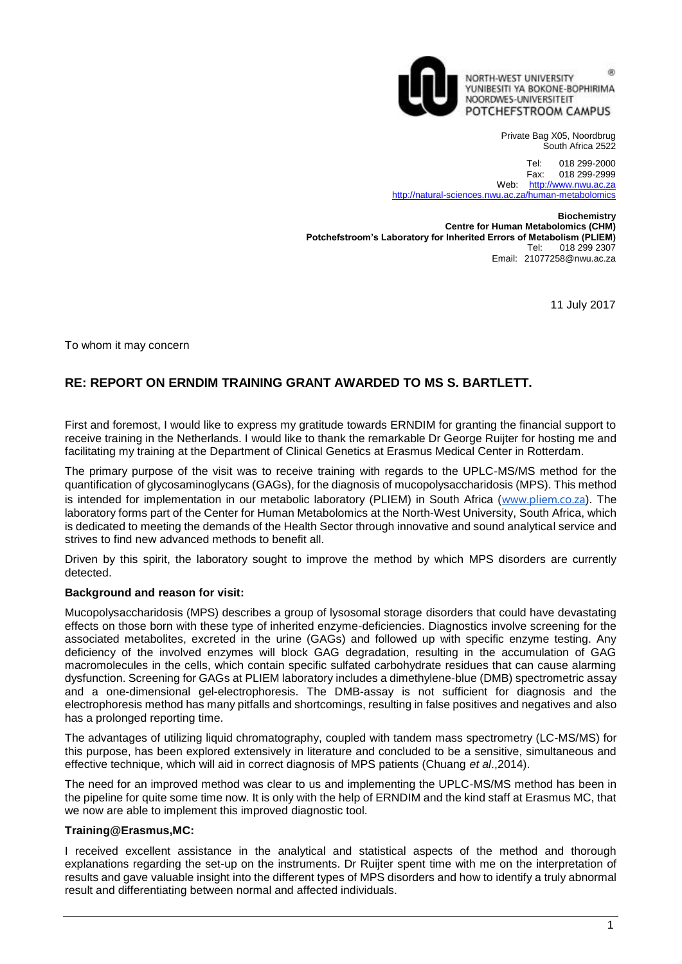

60 NORTH-WEST UNIVERSITY YUNIBESITI YA BOKONE-BOPHIRIMA NOORDWES-UNIVERSITEIT POTCHEFSTROOM CAMPUS

> Private Bag X05, Noordbrug South Africa 2522

Tel: 018 299-2000<br>Fax: 018 299-2999 018 299-2999 Web: [http://www.nwu.ac.za](http://www.nwu.ac.za/) <http://natural-sciences.nwu.ac.za/human-metabolomics>

**Biochemistry Centre for Human Metabolomics (CHM) Potchefstroom's Laboratory for Inherited Errors of Metabolism (PLIEM)**<br>Tel: 018 299 2307 018 299 2307 Email: 21077258@nwu.ac.za

11 July 2017

To whom it may concern

## **RE: REPORT ON ERNDIM TRAINING GRANT AWARDED TO MS S. BARTLETT.**

First and foremost, I would like to express my gratitude towards ERNDIM for granting the financial support to receive training in the Netherlands. I would like to thank the remarkable Dr George Ruijter for hosting me and facilitating my training at the Department of Clinical Genetics at Erasmus Medical Center in Rotterdam.

The primary purpose of the visit was to receive training with regards to the UPLC-MS/MS method for the quantification of glycosaminoglycans (GAGs), for the diagnosis of mucopolysaccharidosis (MPS). This method is intended for implementation in our metabolic laboratory (PLIEM) in South Africa ([www.pliem.co.za](http://www.pliem.co.za/)). The laboratory forms part of the Center for Human Metabolomics at the North-West University, South Africa, which is dedicated to meeting the demands of the Health Sector through innovative and sound analytical service and strives to find new advanced methods to benefit all.

Driven by this spirit, the laboratory sought to improve the method by which MPS disorders are currently detected.

## **Background and reason for visit:**

Mucopolysaccharidosis (MPS) describes a group of lysosomal storage disorders that could have devastating effects on those born with these type of inherited enzyme-deficiencies. Diagnostics involve screening for the associated metabolites, excreted in the urine (GAGs) and followed up with specific enzyme testing. Any deficiency of the involved enzymes will block GAG degradation, resulting in the accumulation of GAG macromolecules in the cells, which contain specific sulfated carbohydrate residues that can cause alarming dysfunction. Screening for GAGs at PLIEM laboratory includes a dimethylene-blue (DMB) spectrometric assay and a one-dimensional gel-electrophoresis. The DMB-assay is not sufficient for diagnosis and the electrophoresis method has many pitfalls and shortcomings, resulting in false positives and negatives and also has a prolonged reporting time.

The advantages of utilizing liquid chromatography, coupled with tandem mass spectrometry (LC-MS/MS) for this purpose, has been explored extensively in literature and concluded to be a sensitive, simultaneous and effective technique, which will aid in correct diagnosis of MPS patients (Chuang *et al*.,2014).

The need for an improved method was clear to us and implementing the UPLC-MS/MS method has been in the pipeline for quite some time now. It is only with the help of ERNDIM and the kind staff at Erasmus MC, that we now are able to implement this improved diagnostic tool.

## **Training@Erasmus,MC:**

I received excellent assistance in the analytical and statistical aspects of the method and thorough explanations regarding the set-up on the instruments. Dr Ruijter spent time with me on the interpretation of results and gave valuable insight into the different types of MPS disorders and how to identify a truly abnormal result and differentiating between normal and affected individuals.